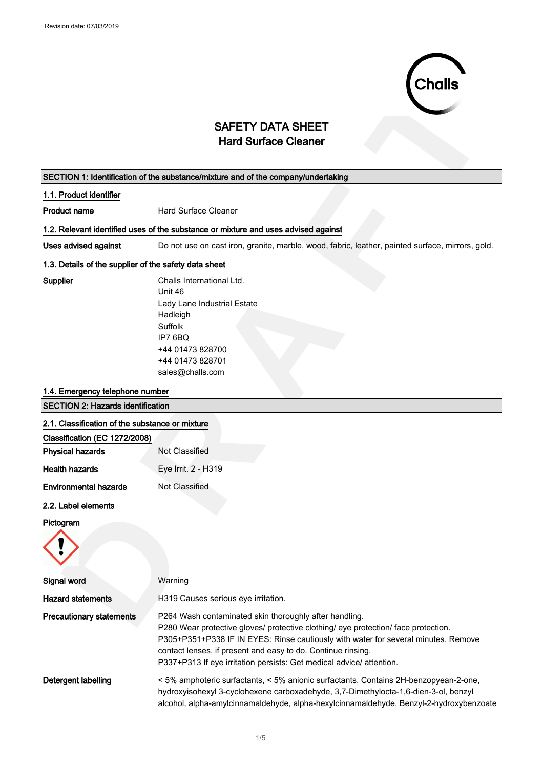

## SAFETY DATA SHEET Hard Surface Cleaner

## SECTION 1: Identification of the substance/mixture and of the company/undertaking 1.1. Product identifier **Product name** Hard Surface Cleaner 1.2. Relevant identified uses of the substance or mixture and uses advised against Uses advised against Do not use on cast iron, granite, marble, wood, fabric, leather, painted surface, mirrors, gold. 1.3. Details of the supplier of the safety data sheet Supplier Challs International Ltd. Unit 46 Lady Lane Industrial Estate Hadleigh

Suffolk IP7 6BQ +44 01473 828700 +44 01473 828701 sales@challs.com

#### 1.4. Emergency telephone number

# **SAFETY DATA SHEET**<br>
Hard Surface Cleanner<br> **TRON 1: Hondfloated of the substancemizions and of the company/unidelately<br>
<b>Product blending**<br> **Related Meridian and the substance of the substantial and the company unidelatel** SECTION 2: Hazards identification 2.1. Classification of the substance or mixture Classification (EC 1272/2008) Physical hazards Not Classified Health hazards Eye Irrit. 2 - H319 **Environmental hazards** Not Classified 2.2. Label elements Pictogram Signal word Warning Hazard statements **H319 Causes serious eye irritation**. **Precautionary statements** P264 Wash contaminated skin thoroughly after handling. P280 Wear protective gloves/ protective clothing/ eye protection/ face protection. P305+P351+P338 IF IN EYES: Rinse cautiously with water for several minutes. Remove contact lenses, if present and easy to do. Continue rinsing. P337+P313 If eye irritation persists: Get medical advice/ attention. Detergent labelling < 5% amphoteric surfactants, < 5% anionic surfactants, Contains 2H-benzopyean-2-one, hydroxyisohexyl 3-cyclohexene carboxadehyde, 3,7-Dimethylocta-1,6-dien-3-ol, benzyl

alcohol, alpha-amylcinnamaldehyde, alpha-hexylcinnamaldehyde, Benzyl-2-hydroxybenzoate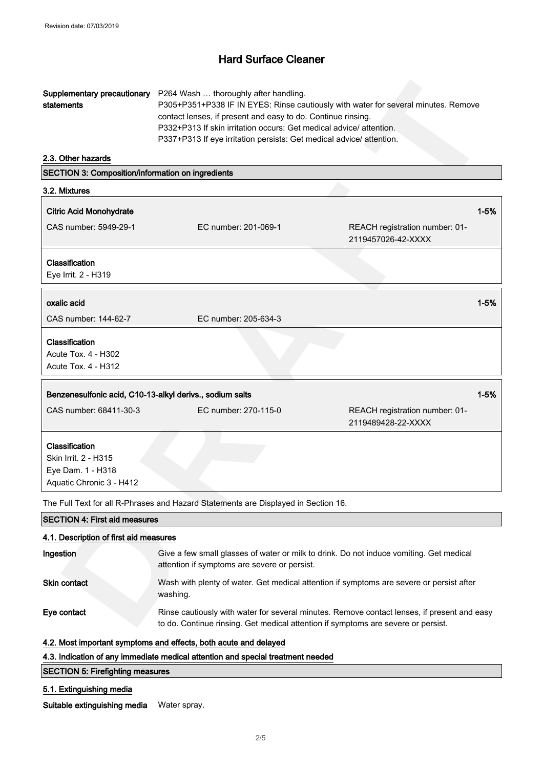|            | <b>Supplementary precautionary</b> P264 Wash  thoroughly after handling.           |
|------------|------------------------------------------------------------------------------------|
| statements | P305+P351+P338 IF IN EYES: Rinse cautiously with water for several minutes. Remove |
|            | contact lenses, if present and easy to do. Continue rinsing.                       |
|            | P332+P313 If skin irritation occurs: Get medical advice/attention.                 |
|            | P337+P313 If eye irritation persists: Get medical advice/ attention.               |

| Supplementary precautionary<br>statements                                               | P264 Wash  thoroughly after handling.<br>contact lenses, if present and easy to do. Continue rinsing.<br>P332+P313 If skin irritation occurs: Get medical advice/ attention.<br>P337+P313 If eye irritation persists: Get medical advice/attention. | P305+P351+P338 IF IN EYES: Rinse cautiously with water for several minutes. Remove          |
|-----------------------------------------------------------------------------------------|-----------------------------------------------------------------------------------------------------------------------------------------------------------------------------------------------------------------------------------------------------|---------------------------------------------------------------------------------------------|
| 2.3. Other hazards                                                                      |                                                                                                                                                                                                                                                     |                                                                                             |
| SECTION 3: Composition/information on ingredients                                       |                                                                                                                                                                                                                                                     |                                                                                             |
| 3.2. Mixtures                                                                           |                                                                                                                                                                                                                                                     |                                                                                             |
| <b>Citric Acid Monohydrate</b>                                                          |                                                                                                                                                                                                                                                     | $1 - 5%$                                                                                    |
| CAS number: 5949-29-1                                                                   | EC number: 201-069-1                                                                                                                                                                                                                                | REACH registration number: 01-<br>2119457026-42-XXXX                                        |
| Classification<br>Eye Irrit. 2 - H319                                                   |                                                                                                                                                                                                                                                     |                                                                                             |
| oxalic acid                                                                             |                                                                                                                                                                                                                                                     | $1 - 5%$                                                                                    |
| CAS number: 144-62-7                                                                    | EC number: 205-634-3                                                                                                                                                                                                                                |                                                                                             |
| Classification<br>Acute Tox. 4 - H302<br>Acute Tox. 4 - H312                            |                                                                                                                                                                                                                                                     |                                                                                             |
| Benzenesulfonic acid, C10-13-alkyl derivs., sodium salts                                |                                                                                                                                                                                                                                                     | $1 - 5%$                                                                                    |
| CAS number: 68411-30-3                                                                  | EC number: 270-115-0                                                                                                                                                                                                                                | REACH registration number: 01-<br>2119489428-22-XXXX                                        |
| Classification<br>Skin Irrit. 2 - H315<br>Eye Dam. 1 - H318<br>Aquatic Chronic 3 - H412 |                                                                                                                                                                                                                                                     |                                                                                             |
|                                                                                         | The Full Text for all R-Phrases and Hazard Statements are Displayed in Section 16.                                                                                                                                                                  |                                                                                             |
| <b>SECTION 4: First aid measures</b>                                                    |                                                                                                                                                                                                                                                     |                                                                                             |
| 4.1. Description of first aid measures                                                  |                                                                                                                                                                                                                                                     |                                                                                             |
| Ingestion                                                                               | Give a few small glasses of water or milk to drink. Do not induce vomiting. Get medical<br>attention if symptoms are severe or persist.                                                                                                             |                                                                                             |
| Skin contact                                                                            | washing.                                                                                                                                                                                                                                            | Wash with plenty of water. Get medical attention if symptoms are severe or persist after    |
| Eye contact                                                                             | to do. Continue rinsing. Get medical attention if symptoms are severe or persist.                                                                                                                                                                   | Rinse cautiously with water for several minutes. Remove contact lenses, if present and easy |

SECTION 4: First aid measures 4.1. Description of first aid measures Ingestion Give a few small glasses of water or milk to drink. Do not induce vomiting. Get medical attention if symptoms are severe or persist. Skin contact Wash with plenty of water. Get medical attention if symptoms are severe or persist after washing. Eye contact Rinse cautiously with water for several minutes. Remove contact lenses, if present and easy to do. Continue rinsing. Get medical attention if symptoms are severe or persist.

## 4.2. Most important symptoms and effects, both acute and delayed

### 4.3. Indication of any immediate medical attention and special treatment needed

#### SECTION 5: Firefighting measures

#### 5.1. Extinguishing media

Suitable extinguishing media Water spray.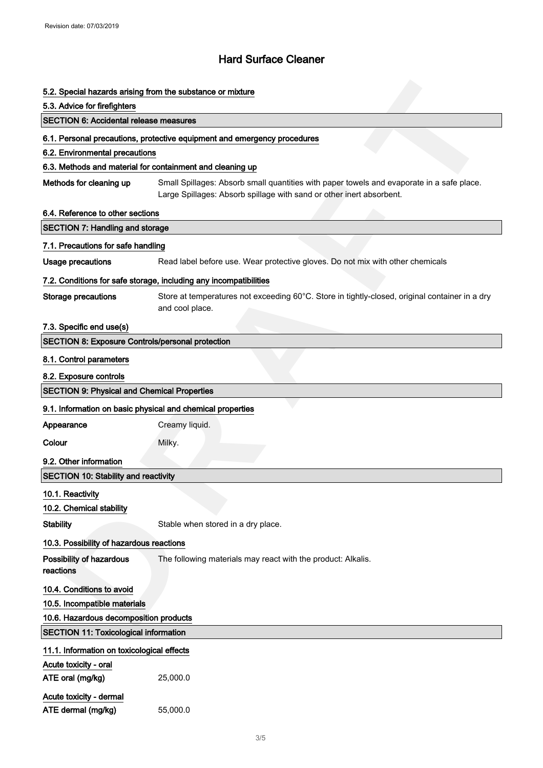|                                                         | 5.2. Special hazards arising from the substance or mixture                                                                                                        |  |  |
|---------------------------------------------------------|-------------------------------------------------------------------------------------------------------------------------------------------------------------------|--|--|
| 5.3. Advice for firefighters                            |                                                                                                                                                                   |  |  |
| <b>SECTION 6: Accidental release measures</b>           |                                                                                                                                                                   |  |  |
|                                                         | 6.1. Personal precautions, protective equipment and emergency procedures                                                                                          |  |  |
| 6.2. Environmental precautions                          |                                                                                                                                                                   |  |  |
|                                                         | 6.3. Methods and material for containment and cleaning up                                                                                                         |  |  |
| Methods for cleaning up                                 | Small Spillages: Absorb small quantities with paper towels and evaporate in a safe place.<br>Large Spillages: Absorb spillage with sand or other inert absorbent. |  |  |
| 6.4. Reference to other sections                        |                                                                                                                                                                   |  |  |
| <b>SECTION 7: Handling and storage</b>                  |                                                                                                                                                                   |  |  |
| 7.1. Precautions for safe handling                      |                                                                                                                                                                   |  |  |
| <b>Usage precautions</b>                                | Read label before use. Wear protective gloves. Do not mix with other chemicals                                                                                    |  |  |
|                                                         | 7.2. Conditions for safe storage, including any incompatibilities                                                                                                 |  |  |
| <b>Storage precautions</b>                              | Store at temperatures not exceeding 60°C. Store in tightly-closed, original container in a dry<br>and cool place.                                                 |  |  |
| 7.3. Specific end use(s)                                |                                                                                                                                                                   |  |  |
| <b>SECTION 8: Exposure Controls/personal protection</b> |                                                                                                                                                                   |  |  |
| 8.1. Control parameters                                 |                                                                                                                                                                   |  |  |
| 8.2. Exposure controls                                  |                                                                                                                                                                   |  |  |
| <b>SECTION 9: Physical and Chemical Properties</b>      |                                                                                                                                                                   |  |  |
|                                                         | 9.1. Information on basic physical and chemical properties                                                                                                        |  |  |
| Appearance                                              | Creamy liquid.                                                                                                                                                    |  |  |
| Colour                                                  | Milky.                                                                                                                                                            |  |  |
| 9.2. Other information                                  |                                                                                                                                                                   |  |  |
| <b>SECTION 10: Stability and reactivity</b>             |                                                                                                                                                                   |  |  |
|                                                         |                                                                                                                                                                   |  |  |
| 10.1. Reactivity<br>10.2. Chemical stability            |                                                                                                                                                                   |  |  |
| <b>Stability</b>                                        | Stable when stored in a dry place.                                                                                                                                |  |  |
|                                                         |                                                                                                                                                                   |  |  |
| 10.3. Possibility of hazardous reactions                |                                                                                                                                                                   |  |  |
| Possibility of hazardous<br>reactions                   | The following materials may react with the product: Alkalis.                                                                                                      |  |  |
| 10.4. Conditions to avoid                               |                                                                                                                                                                   |  |  |
| 10.5. Incompatible materials                            |                                                                                                                                                                   |  |  |
| 10.6. Hazardous decomposition products                  |                                                                                                                                                                   |  |  |
| <b>SECTION 11: Toxicological information</b>            |                                                                                                                                                                   |  |  |
| 11.1. Information on toxicological effects              |                                                                                                                                                                   |  |  |
| Acute toxicity - oral                                   |                                                                                                                                                                   |  |  |
| ATE oral (mg/kg)                                        | 25,000.0                                                                                                                                                          |  |  |
| Acute toxicity - dermal                                 |                                                                                                                                                                   |  |  |
| ATE dermal (mg/kg)                                      | 55,000.0                                                                                                                                                          |  |  |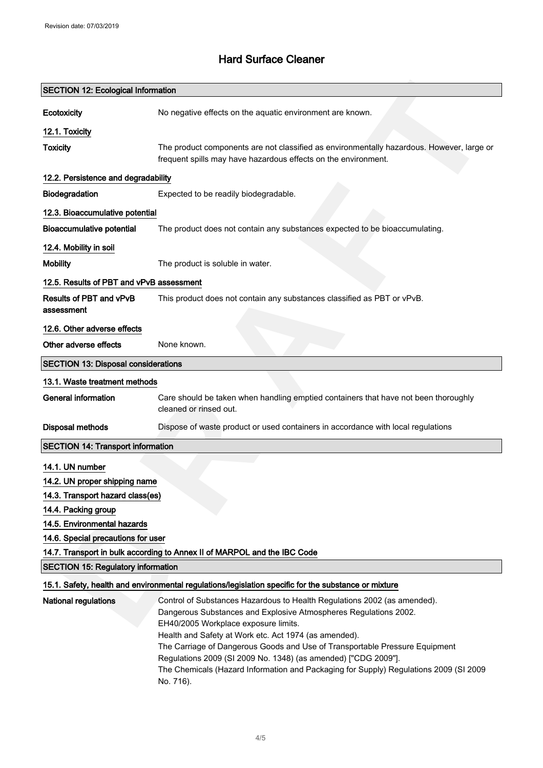| <b>SECTION 12: Ecological Information</b>  |                                                                                                                                               |
|--------------------------------------------|-----------------------------------------------------------------------------------------------------------------------------------------------|
| Ecotoxicity                                | No negative effects on the aquatic environment are known.                                                                                     |
| 12.1. Toxicity                             |                                                                                                                                               |
| <b>Toxicity</b>                            | The product components are not classified as environmentally hazardous. However, large or                                                     |
|                                            | frequent spills may have hazardous effects on the environment.                                                                                |
| 12.2. Persistence and degradability        |                                                                                                                                               |
| Biodegradation                             | Expected to be readily biodegradable.                                                                                                         |
| 12.3. Bioaccumulative potential            |                                                                                                                                               |
| <b>Bioaccumulative potential</b>           | The product does not contain any substances expected to be bioaccumulating.                                                                   |
| 12.4. Mobility in soil                     |                                                                                                                                               |
| <b>Mobility</b>                            | The product is soluble in water.                                                                                                              |
| 12.5. Results of PBT and vPvB assessment   |                                                                                                                                               |
| Results of PBT and vPvB                    | This product does not contain any substances classified as PBT or vPvB.                                                                       |
| assessment                                 |                                                                                                                                               |
| 12.6. Other adverse effects                |                                                                                                                                               |
| Other adverse effects                      | None known.                                                                                                                                   |
| <b>SECTION 13: Disposal considerations</b> |                                                                                                                                               |
| 13.1. Waste treatment methods              |                                                                                                                                               |
| <b>General information</b>                 | Care should be taken when handling emptied containers that have not been thoroughly                                                           |
|                                            | cleaned or rinsed out.                                                                                                                        |
| <b>Disposal methods</b>                    | Dispose of waste product or used containers in accordance with local regulations                                                              |
| <b>SECTION 14: Transport information</b>   |                                                                                                                                               |
| 14.1. UN number                            |                                                                                                                                               |
| 14.2. UN proper shipping name              |                                                                                                                                               |
| 14.3. Transport hazard class(es)           |                                                                                                                                               |
| 14.4. Packing group                        |                                                                                                                                               |
| 14.5. Environmental hazards                |                                                                                                                                               |
| 14.6. Special precautions for user         |                                                                                                                                               |
|                                            | 14.7. Transport in bulk according to Annex II of MARPOL and the IBC Code                                                                      |
| <b>SECTION 15: Regulatory information</b>  |                                                                                                                                               |
|                                            | 15.1. Safety, health and environmental regulations/legislation specific for the substance or mixture                                          |
| <b>National regulations</b>                | Control of Substances Hazardous to Health Regulations 2002 (as amended).                                                                      |
|                                            | Dangerous Substances and Explosive Atmospheres Regulations 2002.                                                                              |
|                                            | EH40/2005 Workplace exposure limits.                                                                                                          |
|                                            | Health and Safety at Work etc. Act 1974 (as amended).                                                                                         |
|                                            | The Carriage of Dangerous Goods and Use of Transportable Pressure Equipment<br>Regulations 2009 (SI 2009 No. 1348) (as amended) ["CDG 2009"]. |
|                                            | The Chemicals (Hazard Information and Packaging for Supply) Regulations 2009 (SI 2009                                                         |
|                                            |                                                                                                                                               |

No. 716).